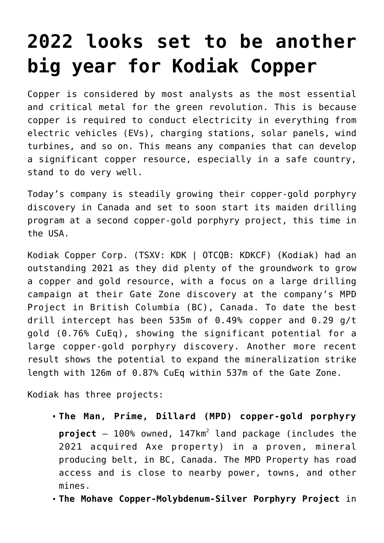# **[2022 looks set to be another](https://investorintel.com/markets/gold-silver-base-metals/gold-precious-metals-intel/2022-looks-set-to-be-another-big-year-for-kodiak-copper/) [big year for Kodiak Copper](https://investorintel.com/markets/gold-silver-base-metals/gold-precious-metals-intel/2022-looks-set-to-be-another-big-year-for-kodiak-copper/)**

Copper is considered by most analysts as the most essential and critical metal for the green revolution. This is because copper is required to conduct electricity in everything from electric vehicles (EVs), charging stations, solar panels, wind turbines, and so on. This means any companies that can develop a significant copper resource, especially in a safe country, stand to do very well.

Today's company is steadily growing their copper-gold porphyry discovery in Canada and set to soon start its maiden drilling program at a second copper-gold porphyry project, this time in the USA.

[Kodiak Copper Corp.](https://kodiakcoppercorp.com/) (TSXV: KDK | OTCQB: KDKCF) (Kodiak) had an outstanding 2021 as they did plenty of the groundwork to grow a copper and gold resource, with a focus on a large drilling campaign at their Gate Zone discovery at the company's MPD Project in British Columbia (BC), Canada. To date the best drill intercept has been [535m of 0.49% copper and 0.29 g/t](https://kodiakcoppercorp.com/projects/mpd/) [gold \(0.76% CuEq\),](https://kodiakcoppercorp.com/projects/mpd/) showing the significant potential for a large copper-gold porphyry discovery. Another more recent result shows the potential to expand the mineralization strike length with [126m of 0.87% CuEq within 537m of the Gate Zone](https://investorintel.com/markets/technology-metals/technology-metals-news/kodiak-drills-126-m-of-0-87-cueq-within-537-m-of-0-45-cueq-at-gate-zone/).

Kodiak has three projects:

- **The Man, Prime, Dillard (MPD) copper-gold porphyry project** – 100% owned, 147km<sup>2</sup> land package (includes the 2021 acquired Axe property) in a proven, mineral producing belt, in BC, Canada. The MPD Property has road access and is close to nearby power, towns, and other mines.
- **The Mohave Copper-Molybdenum-Silver Porphyry Project** in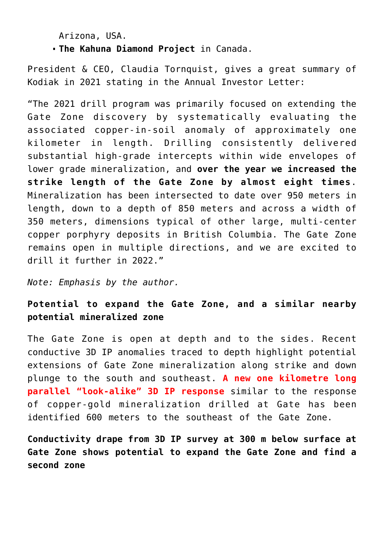Arizona, USA.

**The Kahuna Diamond Project** in Canada.

President & CEO, Claudia Tornquist, gives a great summary of Kodiak in 2021 stating in the [Annual Investor Letter](https://investorintel.com/markets/gold-silver-base-metals/gold-precious-metals-news/kodiak-copper-annual-investor-letter-2/):

"The 2021 drill program was primarily focused on extending the Gate Zone discovery by systematically evaluating the associated copper-in-soil anomaly of approximately one kilometer in length. Drilling consistently delivered substantial high-grade intercepts within wide envelopes of lower grade mineralization, and **over the year we increased the strike length of the Gate Zone by almost eight times**. Mineralization has been intersected to date over 950 meters in length, down to a depth of 850 meters and across a width of 350 meters, dimensions typical of other large, multi-center copper porphyry deposits in British Columbia. The Gate Zone remains open in multiple directions, and we are excited to drill it further in 2022."

*Note: Emphasis by the author.*

## **Potential to expand the Gate Zone, and a similar nearby potential mineralized zone**

The Gate Zone is open at depth and to the sides. Recent conductive 3D IP anomalies traced to depth highlight [potential](https://investorintel.com/markets/technology-metals/technology-metals-news/kodiak-identifies-new-geophysical-drill-targets-near-gate-zone/) [extensions of Gate Zone mineralization along strike and down](https://investorintel.com/markets/technology-metals/technology-metals-news/kodiak-identifies-new-geophysical-drill-targets-near-gate-zone/) [plunge](https://investorintel.com/markets/technology-metals/technology-metals-news/kodiak-identifies-new-geophysical-drill-targets-near-gate-zone/) to the south and southeast. **A new one kilometre long parallel "look-alike" 3D IP response** similar to the response of copper-gold mineralization drilled at Gate has been identified 600 meters to the southeast of the Gate Zone.

**Conductivity drape from 3D IP survey at 300 m below surface at Gate Zone shows potential to expand the Gate Zone and find a second zone**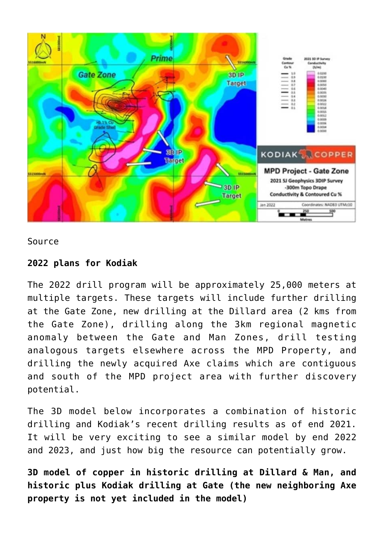

#### [Source](https://investorintel.com/markets/technology-metals/technology-metals-news/kodiak-identifies-new-geophysical-drill-targets-near-gate-zone/)

#### **2022 plans for Kodiak**

The 2022 drill program will be approximately 25,000 meters at multiple targets. These targets will include further drilling at the Gate Zone, new drilling at the Dillard area (2 kms from the Gate Zone), drilling along the 3km regional magnetic anomaly between the Gate and Man Zones, drill testing analogous targets elsewhere across the MPD Property, and drilling the newly acquired Axe claims which are contiguous and south of the MPD project area with further discovery potential.

The 3D model below incorporates a combination of historic drilling and Kodiak's recent drilling results as of end 2021. It will be very exciting to see a similar model by end 2022 and 2023, and just how big the resource can potentially grow.

**3D model of copper in historic drilling at Dillard & Man, and historic plus Kodiak drilling at Gate (the new neighboring Axe property is not yet included in the model)**